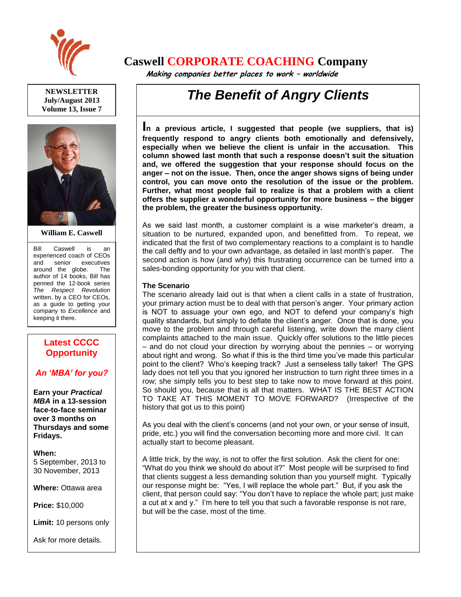

**NEWSLETTER July/August 2013 Volume 13, Issue 7**



**William E. Caswell**

Bill Caswell is an experienced coach of CEOs and senior executives around the globe. The author of 14 books, Bill has penned the 12-book series *The Respect Revolution* written, by a CEO for CEOs, as a guide to getting your company to *Excellence* and keeping it there.

## **Latest CCCC Opportunity**

### *An 'MBA' for you?*

**Earn your** *Practical MBA* **in a 13-session face-to-face seminar over 3 months on Thursdays and some Fridays.**

**When:**  5 September, 2013 to 30 November, 2013

**Where:** Ottawa area

**Price:** \$10,000

**Limit:** 10 persons only

Ask for more details.

# **Caswell CORPORATE COACHING Company**

 **Making companies better places to work – worldwide**

# *The Benefit of Angry Clients*

**In a previous article, I suggested that people (we suppliers, that is) frequently respond to angry clients both emotionally and defensively, especially when we believe the client is unfair in the accusation. This column showed last month that such a response doesn't suit the situation and, we offered the suggestion that your response should focus on the anger – not on the issue. Then, once the anger shows signs of being under control, you can move onto the resolution of the issue or the problem. Further, what most people fail to realize is that a problem with a client offers the supplier a wonderful opportunity for more business – the bigger the problem, the greater the business opportunity.**

As we said last month, a customer complaint is a wise marketer's dream, a situation to be nurtured, expanded upon, and benefitted from. To repeat, we indicated that the first of two complementary reactions to a complaint is to handle the call deftly and to your own advantage, as detailed in last month's paper. The second action is how (and why) this frustrating occurrence can be turned into a sales-bonding opportunity for you with that client.

#### **The Scenario**

The scenario already laid out is that when a client calls in a state of frustration, your primary action must be to deal with that person's anger. Your primary action is NOT to assuage your own ego, and NOT to defend your company's high quality standards, but simply to deflate the client's anger. Once that is done, you move to the problem and through careful listening, write down the many client complaints attached to the main issue. Quickly offer solutions to the little pieces – and do not cloud your direction by worrying about the pennies – or worrying about right and wrong. So what if this is the third time you've made this particular point to the client? Who's keeping track? Just a senseless tally taker! The GPS lady does not tell you that you ignored her instruction to turn right three times in a row; she simply tells you to best step to take now to move forward at this point. So should you, because that is all that matters. WHAT IS THE BEST ACTION TO TAKE AT THIS MOMENT TO MOVE FORWARD? (Irrespective of the history that got us to this point)

As you deal with the client's concerns (and not your own, or your sense of insult, pride, etc.) you will find the conversation becoming more and more civil. It can actually start to become pleasant.

A little trick, by the way, is not to offer the first solution. Ask the client for one: "What do you think we should do about it?" Most people will be surprised to find that clients suggest a less demanding solution than you yourself might. Typically our response might be: "Yes, I will replace the whole part." But, if you ask the client, that person could say: "You don't have to replace the whole part; just make a cut at x and y." I'm here to tell you that such a favorable response is not rare, but will be the case, most of the time.